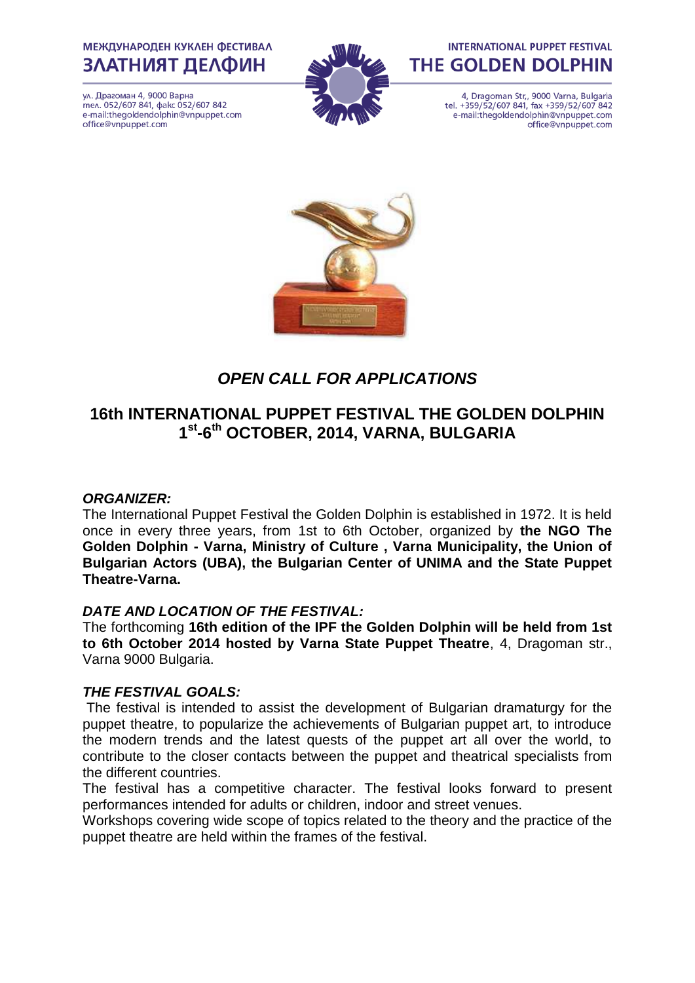## **МЕЖДУНАРОДЕН КУКЛЕН ФЕСТИВАЛ** ЗЛАТНИЯТ ДЕЛФИН

ул. Драгоман 4, 9000 Варна men. 052/607 841, факс 052/607 842 e-mail:thegoldendolphin@vnpuppet.com office@vnpuppet.com





4, Dragoman Str,, 9000 Varna, Bulgaria<br>tel. +359/52/607 841, fax +359/52/607 842 e-mail:thegoldendolphin@vnpuppet.com office@vnpuppet.com



# *OPEN CALL FOR APPLICATIONS*

## **16th INTERNATIONAL PUPPET FESTIVAL THE GOLDEN DOLPHIN 1 st -6 th OCTOBER, 2014, VARNA, BULGARIA**

## *ORGANIZER:*

The International Puppet Festival the Golden Dolphin is established in 1972. It is held once in every three years, from 1st to 6th October, organized by **the NGO The Golden Dolphin - Varna, Ministry of Culture , Varna Municipality, the Union of Bulgarian Actors (UBA), the Bulgarian Center of UNIMA and the State Puppet Theatre-Varna.** 

## *DATE AND LOCATION OF THE FESTIVAL:*

The forthcoming **16th edition of the IPF the Golden Dolphin will be held from 1st to 6th October 2014 hosted by Varna State Puppet Theatre**, 4, Dragoman str., Varna 9000 Bulgaria.

## *THE FESTIVAL GOALS:*

The festival is intended to assist the development of Bulgarian dramaturgy for the puppet theatre, to popularize the achievements of Bulgarian puppet art, to introduce the modern trends and the latest quests of the puppet art all over the world, to contribute to the closer contacts between the puppet and theatrical specialists from the different countries.

The festival has a competitive character. The festival looks forward to present performances intended for adults or children, indoor and street venues.

Workshops covering wide scope of topics related to the theory and the practice of the puppet theatre are held within the frames of the festival.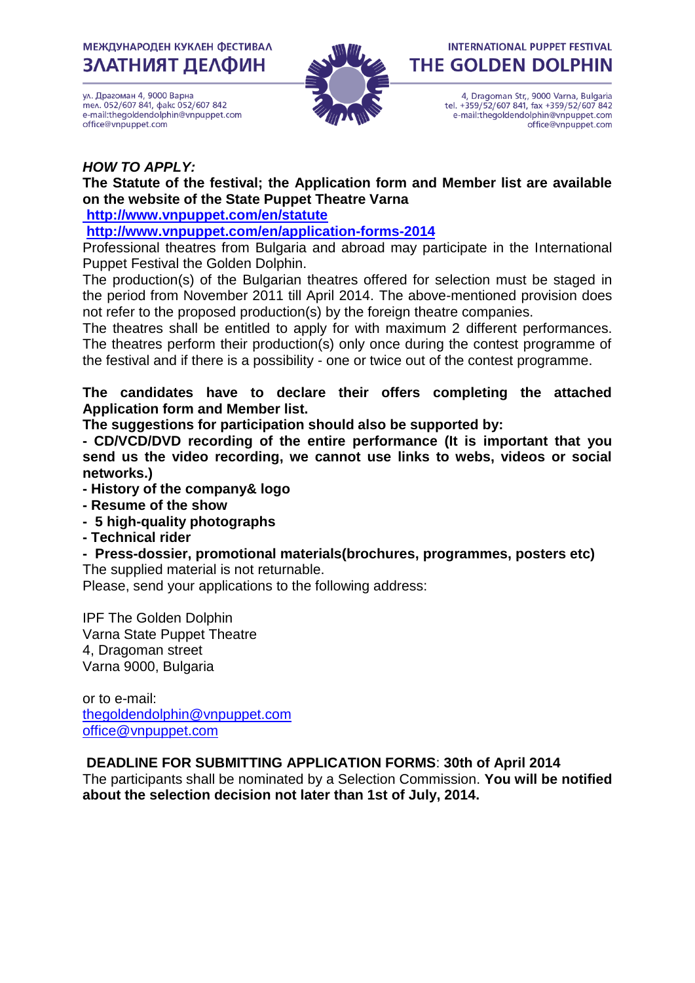**МЕЖДУНАРОДЕН КУКЛЕН ФЕСТИВАЛ** ЗЛАТНИЯТ ДЕЛФИН

ул. Драгоман 4, 9000 Варна men. 052/607 841, факс 052/607 842 e-mail:thegoldendolphin@vnpuppet.com office@vnpuppet.com



**INTERNATIONAL PUPPET FESTIVAL** THE GOLDEN DOLPHIN

> 4, Dragoman Str,, 9000 Varna, Bulgaria<br>tel. +359/52/607 841, fax +359/52/607 842 e-mail:thegoldendolphin@vnpuppet.com office@vnpuppet.com

## *HOW TO APPLY:*

**The Statute of the festival; the Application form and Member list are available on the website of the State Puppet Theatre Varna**

#### **<http://www.vnpuppet.com/en/statute>**

**<http://www.vnpuppet.com/en/application-forms-2014>**

Professional theatres from Bulgaria and abroad may participate in the International Puppet Festival the Golden Dolphin.

The production(s) of the Bulgarian theatres offered for selection must be staged in the period from November 2011 till April 2014. The above-mentioned provision does not refer to the proposed production(s) by the foreign theatre companies.

The theatres shall be entitled to apply for with maximum 2 different performances. The theatres perform their production(s) only once during the contest programme of the festival and if there is a possibility - one or twice out of the contest programme.

#### **The candidates have to declare their offers completing the attached Application form and Member list.**

**The suggestions for participation should also be supported by:**

**- CD/VCD/DVD recording of the entire performance (It is important that you send us the video recording, we cannot use links to webs, videos or social networks.)**

**- History of the company& logo**

- **- Resume of the show**
- **5 high-quality photographs**
- **- Technical rider**

## **- Press-dossier, promotional materials(brochures, programmes, posters etc)**

The supplied material is not returnable.

Please, send your applications to the following address:

IPF The Golden Dolphin Varna State Puppet Theatre 4, Dragoman street Varna 9000, Bulgaria

or to e-mail: [thegoldendolphin@vnpuppet.com](mailto:thegoldendolphin@vnpuppet.com) [office@vnpuppet.com](mailto:office@vnpuppet.com)

## **DEADLINE FOR SUBMITTING APPLICATION FORMS**: **30th of April 2014**

The participants shall be nominated by a Selection Commission. **You will be notified about the selection decision not later than 1st of July, 2014.**